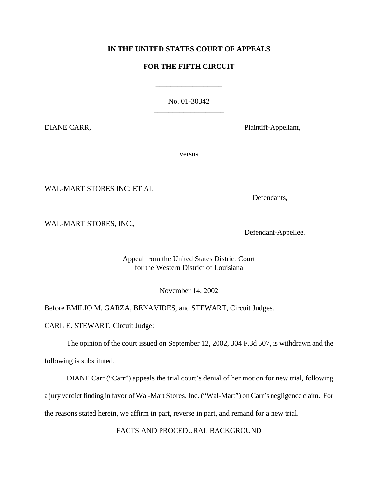# **IN THE UNITED STATES COURT OF APPEALS**

# **FOR THE FIFTH CIRCUIT**

\_\_\_\_\_\_\_\_\_\_\_\_\_\_\_\_\_\_

No. 01-30342 \_\_\_\_\_\_\_\_\_\_\_\_\_\_\_\_\_\_\_

DIANE CARR, Plaintiff-Appellant,

versus

WAL-MART STORES INC; ET AL

Defendants,

WAL-MART STORES, INC.,

Defendant-Appellee.

Appeal from the United States District Court for the Western District of Louisiana

\_\_\_\_\_\_\_\_\_\_\_\_\_\_\_\_\_\_\_\_\_\_\_\_\_\_\_\_\_\_\_\_\_\_\_\_\_\_\_\_\_\_\_

\_\_\_\_\_\_\_\_\_\_\_\_\_\_\_\_\_\_\_\_\_\_\_\_\_\_\_\_\_\_\_\_\_\_\_\_\_\_\_\_\_\_ November 14, 2002

Before EMILIO M. GARZA, BENAVIDES, and STEWART, Circuit Judges.

CARL E. STEWART, Circuit Judge:

The opinion of the court issued on September 12, 2002, 304 F.3d 507, is withdrawn and the

following is substituted.

DIANE Carr ("Carr") appeals the trial court's denial of her motion for new trial, following

a jury verdict finding in favor ofWal-Mart Stores, Inc. ("Wal-Mart") onCarr's negligence claim. For

the reasons stated herein, we affirm in part, reverse in part, and remand for a new trial.

FACTS AND PROCEDURAL BACKGROUND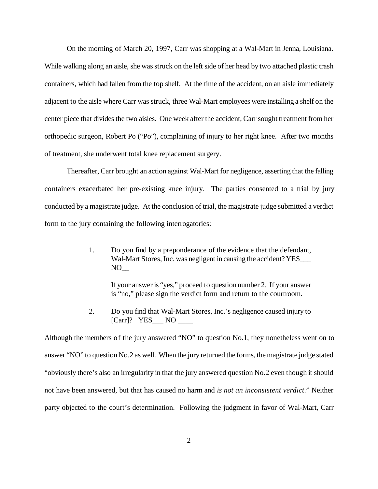On the morning of March 20, 1997, Carr was shopping at a Wal-Mart in Jenna, Louisiana. While walking along an aisle, she was struck on the left side of her head by two attached plastic trash containers, which had fallen from the top shelf. At the time of the accident, on an aisle immediately adjacent to the aisle where Carr was struck, three Wal-Mart employees were installing a shelf on the center piece that divides the two aisles. One week after the accident, Carr sought treatment from her orthopedic surgeon, Robert Po ("Po"), complaining of injury to her right knee. After two months of treatment, she underwent total knee replacement surgery.

Thereafter, Carr brought an action against Wal-Mart for negligence, asserting that the falling containers exacerbated her pre-existing knee injury. The parties consented to a trial by jury conducted by a magistrate judge. At the conclusion of trial, the magistrate judge submitted a verdict form to the jury containing the following interrogatories:

> 1. Do you find by a preponderance of the evidence that the defendant, Wal-Mart Stores, Inc. was negligent in causing the accident? YES  $NO_{--}$

> > If your answer is "yes," proceed to question number 2. If your answer is "no," please sign the verdict form and return to the courtroom.

2. Do you find that Wal-Mart Stores, Inc.'s negligence caused injury to [Carr]? YES\_\_\_ NO \_

Although the members of the jury answered "NO" to question No.1, they nonetheless went on to answer "NO" to question No.2 as well. When the jury returned the forms, the magistrate judge stated "obviously there's also an irregularity in that the jury answered question No.2 even though it should not have been answered, but that has caused no harm and *is not an inconsistent verdict*." Neither party objected to the court's determination. Following the judgment in favor of Wal-Mart, Carr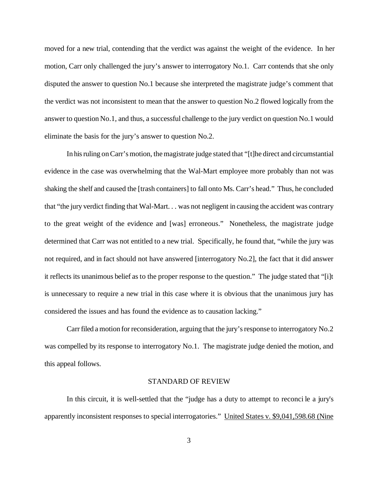moved for a new trial, contending that the verdict was against the weight of the evidence. In her motion, Carr only challenged the jury's answer to interrogatory No.1. Carr contends that she only disputed the answer to question No.1 because she interpreted the magistrate judge's comment that the verdict was not inconsistent to mean that the answer to question No.2 flowed logically from the answer to question No.1, and thus, a successful challenge to the jury verdict on question No.1 would eliminate the basis for the jury's answer to question No.2.

In his ruling on Carr's motion, the magistrate judge stated that "[t]he direct and circumstantial evidence in the case was overwhelming that the Wal-Mart employee more probably than not was shaking the shelf and caused the [trash containers] to fall onto Ms. Carr's head." Thus, he concluded that "the jury verdict finding that Wal-Mart. . . was not negligent in causing the accident was contrary to the great weight of the evidence and [was] erroneous." Nonetheless, the magistrate judge determined that Carr was not entitled to a new trial. Specifically, he found that, "while the jury was not required, and in fact should not have answered [interrogatory No.2], the fact that it did answer it reflects its unanimous belief as to the proper response to the question." The judge stated that "[i]t is unnecessary to require a new trial in this case where it is obvious that the unanimous jury has considered the issues and has found the evidence as to causation lacking."

Carr filed a motion for reconsideration, arguing that the jury's response to interrogatory No.2 was compelled by its response to interrogatory No.1. The magistrate judge denied the motion, and this appeal follows.

#### STANDARD OF REVIEW

In this circuit, it is well-settled that the "judge has a duty to attempt to reconci le a jury's apparently inconsistent responses to special interrogatories." United States v. \$9,041,598.68 (Nine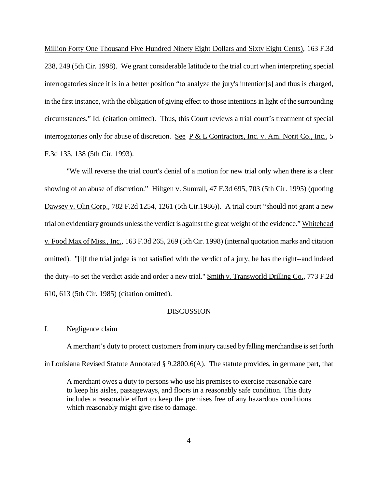Million Forty One Thousand Five Hundred Ninety Eight Dollars and Sixty Eight Cents), 163 F.3d 238, 249 (5th Cir. 1998). We grant considerable latitude to the trial court when interpreting special interrogatories since it is in a better position "to analyze the jury's intention[s] and thus is charged, in the first instance, with the obligation of giving effect to those intentions in light of the surrounding circumstances." Id. (citation omitted). Thus, this Court reviews a trial court's treatment of special interrogatories only for abuse of discretion. See P & L Contractors, Inc. v. Am. Norit Co., Inc., 5 F.3d 133, 138 (5th Cir. 1993).

"We will reverse the trial court's denial of a motion for new trial only when there is a clear showing of an abuse of discretion." Hiltgen v. Sumrall, 47 F.3d 695, 703 (5th Cir. 1995) (quoting Dawsey v. Olin Corp., 782 F.2d 1254, 1261 (5th Cir.1986)). A trial court "should not grant a new trial on evidentiary grounds unless the verdict is against the great weight of the evidence." Whitehead v. Food Max of Miss., Inc., 163 F.3d 265, 269 (5th Cir. 1998) (internal quotation marks and citation omitted). "[i]f the trial judge is not satisfied with the verdict of a jury, he has the right--and indeed the duty--to set the verdict aside and order a new trial." Smith v. Transworld Drilling Co., 773 F.2d 610, 613 (5th Cir. 1985) (citation omitted).

## **DISCUSSION**

## I. Negligence claim

A merchant's duty to protect customers from injury caused by falling merchandise is set forth in Louisiana Revised Statute Annotated § 9.2800.6(A). The statute provides, in germane part, that

A merchant owes a duty to persons who use his premises to exercise reasonable care to keep his aisles, passageways, and floors in a reasonably safe condition. This duty includes a reasonable effort to keep the premises free of any hazardous conditions which reasonably might give rise to damage.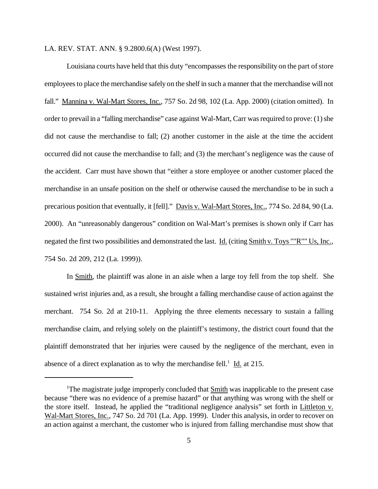LA. REV. STAT. ANN. § 9.2800.6(A) (West 1997).

Louisiana courts have held that this duty "encompasses the responsibility on the part of store employeesto place the merchandise safely on the shelf in such a manner that the merchandise will not fall." Mannina v. Wal-Mart Stores, Inc., 757 So. 2d 98, 102 (La. App. 2000) (citation omitted). In order to prevail in a "falling merchandise" case against Wal-Mart, Carr was required to prove: (1) she did not cause the merchandise to fall; (2) another customer in the aisle at the time the accident occurred did not cause the merchandise to fall; and (3) the merchant's negligence was the cause of the accident. Carr must have shown that "either a store employee or another customer placed the merchandise in an unsafe position on the shelf or otherwise caused the merchandise to be in such a precarious position that eventually, it [fell]." Davis v. Wal-Mart Stores, Inc., 774 So. 2d 84, 90 (La. 2000). An "unreasonably dangerous" condition on Wal-Mart's premises is shown only if Carr has negated the first two possibilities and demonstrated the last. Id. (citing Smith v. Toys ""R"" Us, Inc., 754 So. 2d 209, 212 (La. 1999)).

In Smith, the plaintiff was alone in an aisle when a large toy fell from the top shelf. She sustained wrist injuries and, as a result, she brought a falling merchandise cause of action against the merchant. 754 So. 2d at 210-11. Applying the three elements necessary to sustain a falling merchandise claim, and relying solely on the plaintiff's testimony, the district court found that the plaintiff demonstrated that her injuries were caused by the negligence of the merchant, even in absence of a direct explanation as to why the merchandise fell.<sup>1</sup> Id. at 215.

<sup>&</sup>lt;sup>1</sup>The magistrate judge improperly concluded that Smith was inapplicable to the present case because "there was no evidence of a premise hazard" or that anything was wrong with the shelf or the store itself. Instead, he applied the "traditional negligence analysis" set forth in Littleton v. Wal-Mart Stores, Inc., 747 So. 2d 701 (La. App. 1999). Under this analysis, in order to recover on an action against a merchant, the customer who is injured from falling merchandise must show that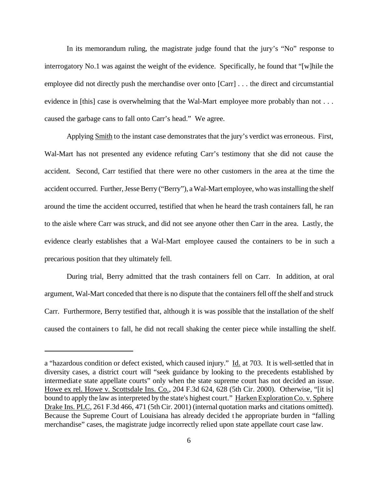In its memorandum ruling, the magistrate judge found that the jury's "No" response to interrogatory No.1 was against the weight of the evidence. Specifically, he found that "[w]hile the employee did not directly push the merchandise over onto [Carr] . . . the direct and circumstantial evidence in [this] case is overwhelming that the Wal-Mart employee more probably than not . . . caused the garbage cans to fall onto Carr's head." We agree.

Applying Smith to the instant case demonstrates that the jury's verdict was erroneous. First, Wal-Mart has not presented any evidence refuting Carr's testimony that she did not cause the accident. Second, Carr testified that there were no other customers in the area at the time the accident occurred. Further, Jesse Berry ("Berry"), a Wal-Mart employee, who was installing the shelf around the time the accident occurred, testified that when he heard the trash containers fall, he ran to the aisle where Carr was struck, and did not see anyone other then Carr in the area. Lastly, the evidence clearly establishes that a Wal-Mart employee caused the containers to be in such a precarious position that they ultimately fell.

During trial, Berry admitted that the trash containers fell on Carr. In addition, at oral argument, Wal-Mart conceded that there is no dispute that the containers fell off the shelf and struck Carr. Furthermore, Berry testified that, although it is was possible that the installation of the shelf caused the containers to fall, he did not recall shaking the center piece while installing the shelf.

a "hazardous condition or defect existed, which caused injury." Id. at 703. It is well-settled that in diversity cases, a district court will "seek guidance by looking to the precedents established by intermediate state appellate courts" only when the state supreme court has not decided an issue. Howe ex rel. Howe v. Scottsdale Ins. Co., 204 F.3d 624, 628 (5th Cir. 2000). Otherwise, "[it is] bound to apply the law as interpreted by the state's highest court." Harken Exploration Co. v. Sphere Drake Ins. PLC, 261 F.3d 466, 471 (5th Cir. 2001) (internal quotation marks and citations omitted). Because the Supreme Court of Louisiana has already decided the appropriate burden in "falling" merchandise" cases, the magistrate judge incorrectly relied upon state appellate court case law.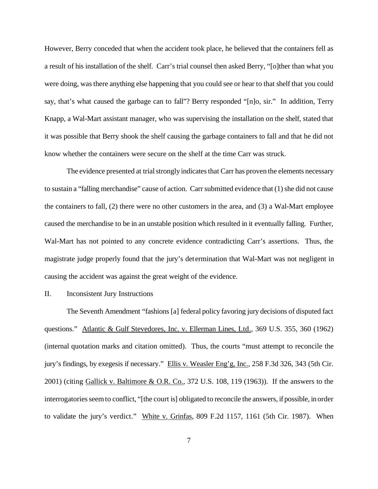However, Berry conceded that when the accident took place, he believed that the containers fell as a result of his installation of the shelf. Carr's trial counsel then asked Berry, "[o]ther than what you were doing, wasthere anything else happening that you could see or hear to that shelf that you could say, that's what caused the garbage can to fall"? Berry responded "[n]o, sir." In addition, Terry Knapp, a Wal-Mart assistant manager, who was supervising the installation on the shelf, stated that it was possible that Berry shook the shelf causing the garbage containers to fall and that he did not know whether the containers were secure on the shelf at the time Carr was struck.

The evidence presented at trial strongly indicates that Carr has proven the elements necessary to sustain a "falling merchandise" cause of action. Carr submitted evidence that (1) she did not cause the containers to fall, (2) there were no other customers in the area, and (3) a Wal-Mart employee caused the merchandise to be in an unstable position which resulted in it eventually falling. Further, Wal-Mart has not pointed to any concrete evidence contradicting Carr's assertions. Thus, the magistrate judge properly found that the jury's determination that Wal-Mart was not negligent in causing the accident was against the great weight of the evidence.

### II. Inconsistent Jury Instructions

The Seventh Amendment "fashions [a] federal policy favoring jury decisions of disputed fact questions." Atlantic & Gulf Stevedores, Inc. v. Ellerman Lines, Ltd., 369 U.S. 355, 360 (1962) (internal quotation marks and citation omitted). Thus, the courts "must attempt to reconcile the jury's findings, by exegesis if necessary." Ellis v. Weasler Eng'g, Inc., 258 F.3d 326, 343 (5th Cir. 2001) (citing Gallick v. Baltimore & O.R. Co., 372 U.S. 108, 119 (1963)). If the answers to the interrogatories seem to conflict, "[the court is] obligated to reconcile the answers, if possible, in order to validate the jury's verdict." White v. Grinfas, 809 F.2d 1157, 1161 (5th Cir. 1987). When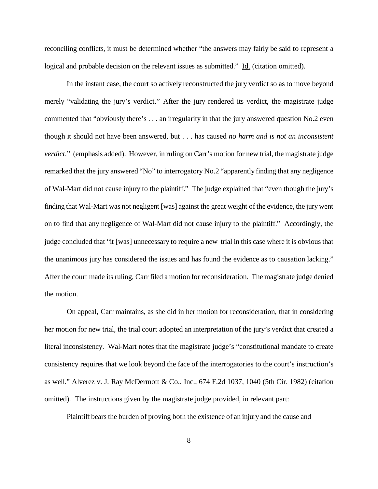reconciling conflicts, it must be determined whether "the answers may fairly be said to represent a logical and probable decision on the relevant issues as submitted." Id. (citation omitted).

In the instant case, the court so actively reconstructed the jury verdict so as to move beyond merely "validating the jury's verdict." After the jury rendered its verdict, the magistrate judge commented that "obviously there's . . . an irregularity in that the jury answered question No.2 even though it should not have been answered, but . . . has caused *no harm and is not an inconsistent verdict*." (emphasis added). However, in ruling on Carr's motion for new trial, the magistrate judge remarked that the jury answered "No" to interrogatory No.2 "apparently finding that any negligence of Wal-Mart did not cause injury to the plaintiff." The judge explained that "even though the jury's finding that Wal-Mart was not negligent [was] against the great weight of the evidence, the jurywent on to find that any negligence of Wal-Mart did not cause injury to the plaintiff." Accordingly, the judge concluded that "it [was] unnecessary to require a new trial in this case where it is obvious that the unanimous jury has considered the issues and has found the evidence as to causation lacking." After the court made its ruling, Carr filed a motion for reconsideration. The magistrate judge denied the motion.

On appeal, Carr maintains, as she did in her motion for reconsideration, that in considering her motion for new trial, the trial court adopted an interpretation of the jury's verdict that created a literal inconsistency. Wal-Mart notes that the magistrate judge's "constitutional mandate to create consistency requires that we look beyond the face of the interrogatories to the court's instruction's as well." Alverez v. J. Ray McDermott & Co., Inc., 674 F.2d 1037, 1040 (5th Cir. 1982) (citation omitted). The instructions given by the magistrate judge provided, in relevant part:

Plaintiff bears the burden of proving both the existence of an injury and the cause and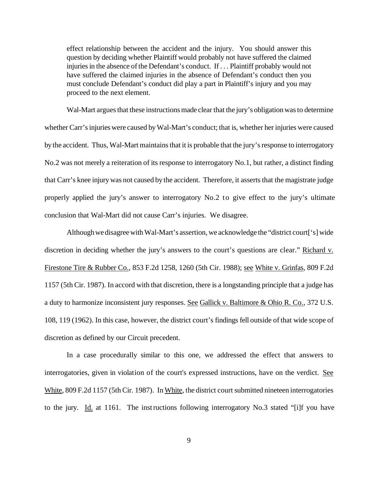effect relationship between the accident and the injury. You should answer this question by deciding whether Plaintiff would probably not have suffered the claimed injuries in the absence of the Defendant's conduct. If ... Plaintiff probably would not have suffered the claimed injuries in the absence of Defendant's conduct then you must conclude Defendant's conduct did play a part in Plaintiff's injury and you may proceed to the next element.

Wal-Mart argues that these instructions made clear that the jury's obligation was to determine whether Carr'sinjuries were caused byWal-Mart's conduct; that is, whether her injuries were caused bythe accident. Thus, Wal-Mart maintains that it is probable that the jury's response to interrogatory No.2 was not merely a reiteration of its response to interrogatory No.1, but rather, a distinct finding that Carr's knee injurywas not caused by the accident. Therefore, it assertsthat the magistrate judge properly applied the jury's answer to interrogatory No.2 to give effect to the jury's ultimate conclusion that Wal-Mart did not cause Carr's injuries. We disagree.

Although we disagree with Wal-Mart's assertion, we acknowledge the "district court['s] wide discretion in deciding whether the jury's answers to the court's questions are clear." Richard v. Firestone Tire & Rubber Co., 853 F.2d 1258, 1260 (5th Cir. 1988); see White v. Grinfas, 809 F.2d 1157 (5th Cir. 1987). In accord with that discretion, there is a longstanding principle that a judge has a duty to harmonize inconsistent jury responses. See Gallick v. Baltimore & Ohio R. Co., 372 U.S. 108, 119 (1962). In this case, however, the district court's findings fell outside of that wide scope of discretion as defined by our Circuit precedent.

In a case procedurally similar to this one, we addressed the effect that answers to interrogatories, given in violation of the court's expressed instructions, have on the verdict. See White, 809 F.2d 1157 (5th Cir. 1987). In White, the district court submitted nineteen interrogatories to the jury. Id. at 1161. The instructions following interrogatory No.3 stated "[i]f you have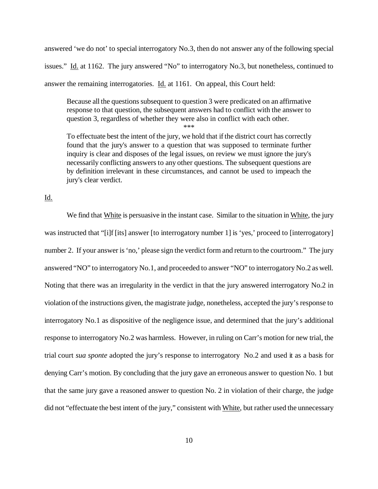answered 'we do not' to special interrogatory No.3, then do not answer any of the following special issues." Id. at 1162. The jury answered "No" to interrogatory No.3, but nonetheless, continued to answer the remaining interrogatories. Id. at 1161. On appeal, this Court held:

Because all the questions subsequent to question 3 were predicated on an affirmative response to that question, the subsequent answers had to conflict with the answer to question 3, regardless of whether they were also in conflict with each other.

\*\*\*

To effectuate best the intent of the jury, we hold that if the district court has correctly found that the jury's answer to a question that was supposed to terminate further inquiry is clear and disposes of the legal issues, on review we must ignore the jury's necessarily conflicting answers to any other questions. The subsequent questions are by definition irrelevant in these circumstances, and cannot be used to impeach the jury's clear verdict.

Id.

We find that White is persuasive in the instant case. Similar to the situation in White, the jury was instructed that "[i]f [its] answer [to interrogatory number 1] is 'yes,' proceed to [interrogatory] number 2. If your answer is 'no,' please sign the verdict form and return to the courtroom." The jury answered "NO" to interrogatory No.1, and proceeded to answer "NO" to interrogatory No.2 as well. Noting that there was an irregularity in the verdict in that the jury answered interrogatory No.2 in violation of the instructions given, the magistrate judge, nonetheless, accepted the jury's response to interrogatory No.1 as dispositive of the negligence issue, and determined that the jury's additional response to interrogatory No.2 was harmless. However, in ruling on Carr's motion for new trial, the trial court *sua sponte* adopted the jury's response to interrogatory No.2 and used it as a basis for denying Carr's motion. By concluding that the jury gave an erroneous answer to question No. 1 but that the same jury gave a reasoned answer to question No. 2 in violation of their charge, the judge did not "effectuate the best intent of the jury," consistent with White, but rather used the unnecessary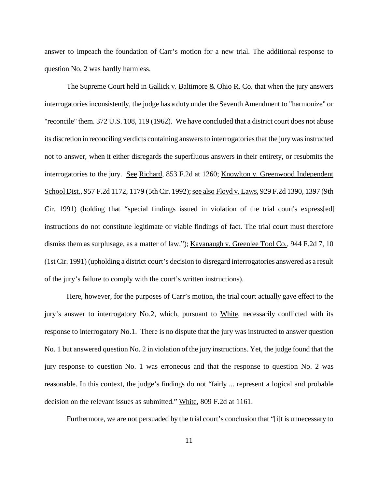answer to impeach the foundation of Carr's motion for a new trial. The additional response to question No. 2 was hardly harmless.

The Supreme Court held in Gallick v. Baltimore & Ohio R. Co. that when the jury answers interrogatories inconsistently, the judge has a duty under the Seventh Amendment to "harmonize" or "reconcile" them. 372 U.S. 108, 119 (1962). We have concluded that a district court does not abuse its discretion in reconciling verdicts containing answers to interrogatories that the jury was instructed not to answer, when it either disregards the superfluous answers in their entirety, or resubmits the interrogatories to the jury. See Richard, 853 F.2d at 1260; Knowlton v. Greenwood Independent School Dist., 957 F.2d 1172, 1179 (5th Cir. 1992); see also Floyd v. Laws, 929 F.2d 1390, 1397 (9th Cir. 1991) (holding that "special findings issued in violation of the trial court's express[ed] instructions do not constitute legitimate or viable findings of fact. The trial court must therefore dismiss them as surplusage, as a matter of law."); Kavanaugh v. Greenlee Tool Co., 944 F.2d 7, 10 (1st Cir. 1991) (upholding a district court's decision to disregard interrogatories answered as a result of the jury's failure to comply with the court's written instructions).

Here, however, for the purposes of Carr's motion, the trial court actually gave effect to the jury's answer to interrogatory No.2, which, pursuant to White, necessarily conflicted with its response to interrogatory No.1. There is no dispute that the jury was instructed to answer question No. 1 but answered question No. 2 in violation of the jury instructions. Yet, the judge found that the jury response to question No. 1 was erroneous and that the response to question No. 2 was reasonable. In this context, the judge's findings do not "fairly ... represent a logical and probable decision on the relevant issues as submitted." White, 809 F.2d at 1161.

Furthermore, we are not persuaded by the trial court's conclusion that "[i]t is unnecessary to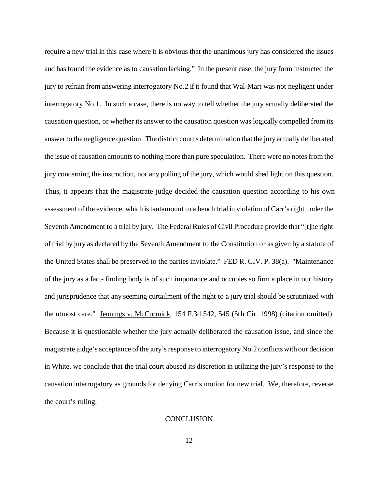require a new trial in this case where it is obvious that the unanimous jury has considered the issues and hasfound the evidence as to causation lacking." In the present case, the jury form instructed the jury to refrain from answering interrogatory No.2 if it found that Wal-Mart was not negligent under interrogatory No.1. In such a case, there is no way to tell whether the jury actually deliberated the causation question, or whether its answer to the causation question was logically compelled from its answer to the negligence question. The district court's determination that the jury actually deliberated the issue of causation amounts to nothing more than pure speculation. There were no notes from the jury concerning the instruction, nor any polling of the jury, which would shed light on this question. Thus, it appears t hat the magistrate judge decided the causation question according to his own assessment of the evidence, which is tantamount to a bench trial in violation of Carr's right under the Seventh Amendment to a trial by jury. The Federal Rules of Civil Procedure provide that "[t]he right of trial by jury as declared by the Seventh Amendment to the Constitution or as given by a statute of the United States shall be preserved to the parties inviolate." FED R. CIV. P. 38(a). "Maintenance of the jury as a fact- finding body is of such importance and occupies so firm a place in our history and jurisprudence that any seeming curtailment of the right to a jury trial should be scrutinized with the utmost care." Jennings v. McCormick, 154 F.3d 542, 545 (5th Cir. 1998) (citation omitted). Because it is questionable whether the jury actually deliberated the causation issue, and since the magistrate judge's acceptance of the jury's response to interrogatory No.2 conflicts with our decision in White, we conclude that the trial court abused its discretion in utilizing the jury's response to the causation interrogatory as grounds for denying Carr's motion for new trial. We, therefore, reverse the court's ruling.

### **CONCLUSION**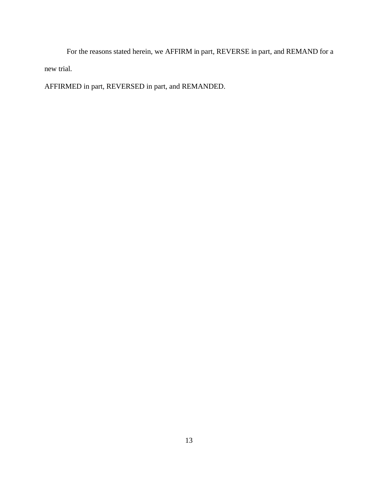For the reasons stated herein, we AFFIRM in part, REVERSE in part, and REMAND for a new trial.

AFFIRMED in part, REVERSED in part, and REMANDED.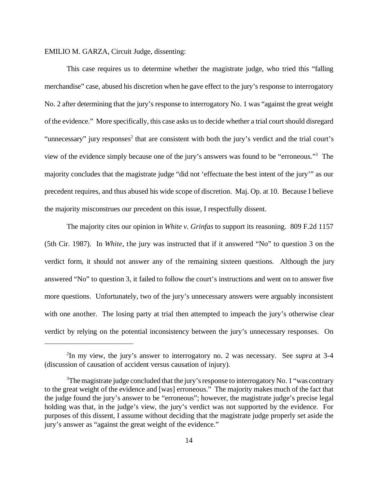EMILIO M. GARZA, Circuit Judge, dissenting:

This case requires us to determine whether the magistrate judge, who tried this "falling merchandise" case, abused his discretion when he gave effect to the jury's response to interrogatory No. 2 after determining that the jury's response to interrogatory No. 1 was "against the great weight ofthe evidence." More specifically, this case asks us to decide whether a trial court should disregard "unnecessary" jury responses<sup>2</sup> that are consistent with both the jury's verdict and the trial court's view of the evidence simply because one of the jury's answers was found to be "erroneous."<sup>3</sup> The majority concludes that the magistrate judge "did not 'effectuate the best intent of the jury'" as our precedent requires, and thus abused his wide scope of discretion. Maj. Op. at 10. Because I believe the majority misconstrues our precedent on this issue, I respectfully dissent.

The majority cites our opinion in *White v. Grinfas* to support its reasoning. 809 F.2d 1157 (5th Cir. 1987). In *White*, the jury was instructed that if it answered "No" to question 3 on the verdict form, it should not answer any of the remaining sixteen questions. Although the jury answered "No" to question 3, it failed to follow the court's instructions and went on to answer five more questions. Unfortunately, two of the jury's unnecessary answers were arguably inconsistent with one another. The losing party at trial then attempted to impeach the jury's otherwise clear verdict by relying on the potential inconsistency between the jury's unnecessary responses. On

<sup>2</sup> In my view, the jury's answer to interrogatory no. 2 was necessary. See *supra* at 3-4 (discussion of causation of accident versus causation of injury).

 $3$ The magistrate judge concluded that the jury's response to interrogatory No. 1 "was contrary" to the great weight of the evidence and [was] erroneous." The majority makes much of the fact that the judge found the jury's answer to be "erroneous"; however, the magistrate judge's precise legal holding was that, in the judge's view, the jury's verdict was not supported by the evidence. For purposes of this dissent, I assume without deciding that the magistrate judge properly set aside the jury's answer as "against the great weight of the evidence."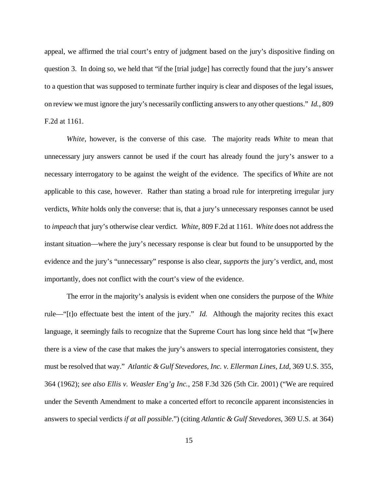appeal, we affirmed the trial court's entry of judgment based on the jury's dispositive finding on question 3. In doing so, we held that "if the [trial judge] has correctly found that the jury's answer to a question that was supposed to terminate further inquiry is clear and disposes of the legal issues, on review we must ignore the jury's necessarily conflicting answersto any other questions." *Id.*, 809 F.2d at 1161.

*White*, however, is the converse of this case. The majority reads *White* to mean that unnecessary jury answers cannot be used if the court has already found the jury's answer to a necessary interrogatory to be against the weight of the evidence. The specifics of *White* are not applicable to this case, however. Rather than stating a broad rule for interpreting irregular jury verdicts, *White* holds only the converse: that is, that a jury's unnecessary responses cannot be used to *impeach* that jury's otherwise clear verdict. *White*, 809 F.2d at 1161. *White* does not addressthe instant situation—where the jury's necessary response is clear but found to be unsupported by the evidence and the jury's "unnecessary" response is also clear, *supports* the jury's verdict, and, most importantly, does not conflict with the court's view of the evidence.

The error in the majority's analysis is evident when one considers the purpose of the *White* rule—"[t]o effectuate best the intent of the jury." *Id.* Although the majority recites this exact language, it seemingly fails to recognize that the Supreme Court has long since held that "[w]here there is a view of the case that makes the jury's answers to special interrogatories consistent, they must be resolved that way." *Atlantic & Gulf Stevedores, Inc. v. Ellerman Lines, Ltd*, 369 U.S. 355, 364 (1962); *see also Ellis v. Weasler Eng'g Inc.*, 258 F.3d 326 (5th Cir. 2001) ("We are required under the Seventh Amendment to make a concerted effort to reconcile apparent inconsistencies in answers to special verdicts *if at all possible*.") (citing *Atlantic & Gulf Stevedores*, 369 U.S. at 364)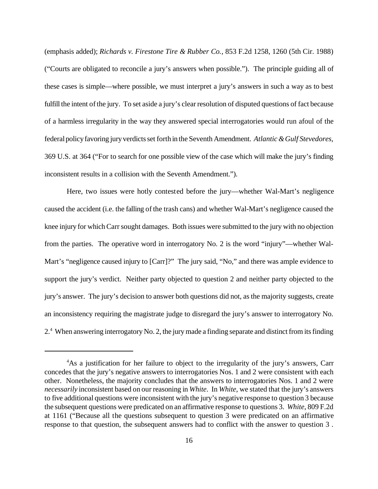(emphasis added); *Richards v. Firestone Tire & Rubber Co.*, 853 F.2d 1258, 1260 (5th Cir. 1988) ("Courts are obligated to reconcile a jury's answers when possible."). The principle guiding all of these cases is simple—where possible, we must interpret a jury's answers in such a way as to best fulfill the intent of the jury. To set aside a jury's clear resolution of disputed questions of fact because of a harmless irregularity in the way they answered special interrogatories would run afoul of the federalpolicyfavoring juryverdictsset forth in the Seventh Amendment. *Atlantic&Gulf Stevedores*, 369 U.S. at 364 ("For to search for one possible view of the case which will make the jury's finding inconsistent results in a collision with the Seventh Amendment.").

Here, two issues were hotly contested before the jury—whether Wal-Mart's negligence caused the accident (i.e. the falling of the trash cans) and whether Wal-Mart's negligence caused the knee injury for whichCarrsought damages. Both issues were submitted to the jury with no objection from the parties. The operative word in interrogatory No. 2 is the word "injury"—whether Wal-Mart's "negligence caused injury to [Carr]?" The jury said, "No," and there was ample evidence to support the jury's verdict. Neither party objected to question 2 and neither party objected to the jury's answer. The jury's decision to answer both questions did not, as the majority suggests, create an inconsistency requiring the magistrate judge to disregard the jury's answer to interrogatory No. 2.<sup>4</sup> When answering interrogatory No. 2, the jury made a finding separate and distinct from its finding

<sup>&</sup>lt;sup>4</sup>As a justification for her failure to object to the irregularity of the jury's answers, Carr concedes that the jury's negative answers to interrogatories Nos. 1 and 2 were consistent with each other. Nonetheless, the majority concludes that the answers to interrogatories Nos. 1 and 2 were *necessarily* inconsistent based on our reasoning in *White*. In *White*, we stated that the jury's answers to five additional questions were inconsistent with the jury's negative response to question 3 because the subsequent questions were predicated on an affirmative response to questions 3. *White*, 809 F.2d at 1161 ("Because all the questions subsequent to question 3 were predicated on an affirmative response to that question, the subsequent answers had to conflict with the answer to question 3 .